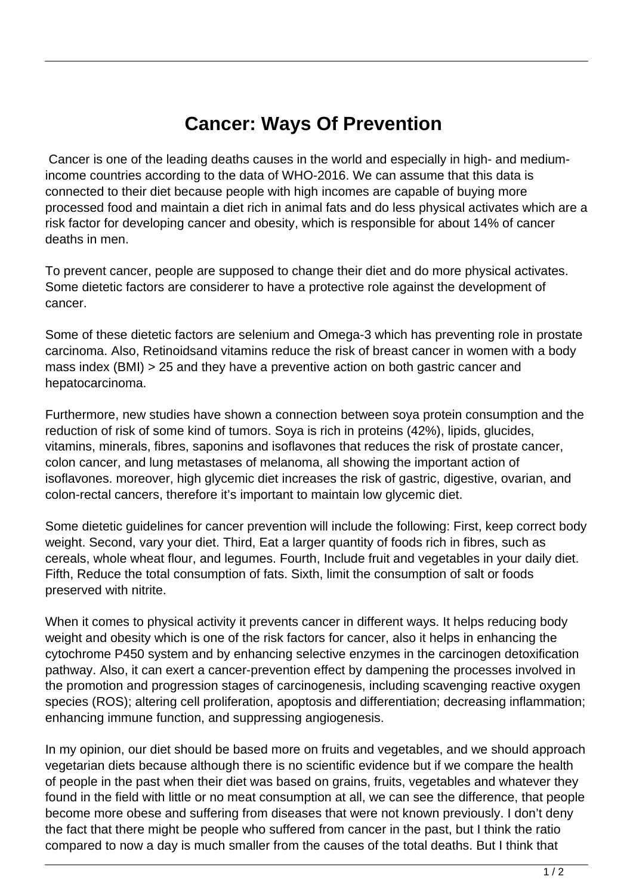## **Cancer: Ways Of Prevention**

 Cancer is one of the leading deaths causes in the world and especially in high- and mediumincome countries according to the data of WHO-2016. We can assume that this data is connected to their diet because people with high incomes are capable of buying more processed food and maintain a diet rich in animal fats and do less physical activates which are a risk factor for developing cancer and obesity, which is responsible for about 14% of cancer deaths in men.

To prevent cancer, people are supposed to change their diet and do more physical activates. Some dietetic factors are considerer to have a protective role against the development of cancer.

Some of these dietetic factors are selenium and Omega-3 which has preventing role in prostate carcinoma. Also, Retinoidsand vitamins reduce the risk of breast cancer in women with a body mass index (BMI) > 25 and they have a preventive action on both gastric cancer and hepatocarcinoma.

Furthermore, new studies have shown a connection between soya protein consumption and the reduction of risk of some kind of tumors. Soya is rich in proteins (42%), lipids, glucides, vitamins, minerals, fibres, saponins and isoflavones that reduces the risk of prostate cancer, colon cancer, and lung metastases of melanoma, all showing the important action of isoflavones. moreover, high glycemic diet increases the risk of gastric, digestive, ovarian, and colon-rectal cancers, therefore it's important to maintain low glycemic diet.

Some dietetic guidelines for cancer prevention will include the following: First, keep correct body weight. Second, vary your diet. Third, Eat a larger quantity of foods rich in fibres, such as cereals, whole wheat flour, and legumes. Fourth, Include fruit and vegetables in your daily diet. Fifth, Reduce the total consumption of fats. Sixth, limit the consumption of salt or foods preserved with nitrite.

When it comes to physical activity it prevents cancer in different ways. It helps reducing body weight and obesity which is one of the risk factors for cancer, also it helps in enhancing the cytochrome P450 system and by enhancing selective enzymes in the carcinogen detoxification pathway. Also, it can exert a cancer-prevention effect by dampening the processes involved in the promotion and progression stages of carcinogenesis, including scavenging reactive oxygen species (ROS); altering cell proliferation, apoptosis and differentiation; decreasing inflammation; enhancing immune function, and suppressing angiogenesis.

In my opinion, our diet should be based more on fruits and vegetables, and we should approach vegetarian diets because although there is no scientific evidence but if we compare the health of people in the past when their diet was based on grains, fruits, vegetables and whatever they found in the field with little or no meat consumption at all, we can see the difference, that people become more obese and suffering from diseases that were not known previously. I don't deny the fact that there might be people who suffered from cancer in the past, but I think the ratio compared to now a day is much smaller from the causes of the total deaths. But I think that